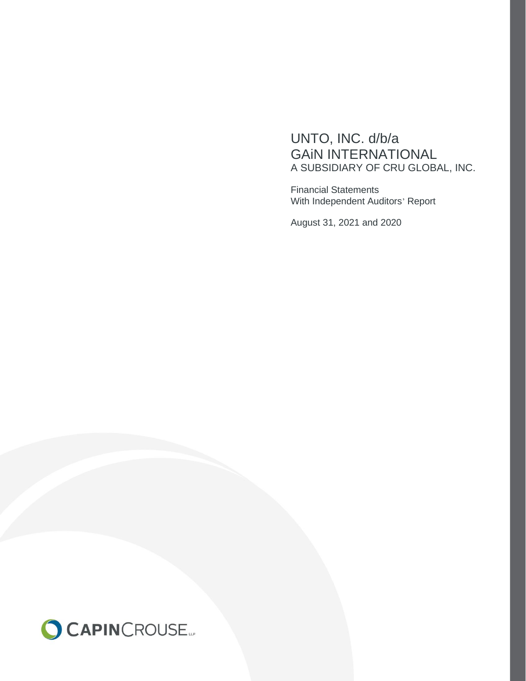# UNTO, INC. d/b/a GAiN INTERNATIONAL A SUBSIDIARY OF CRU GLOBAL, INC.

Financial Statements With Independent Auditors' Report

August 31, 2021 and 2020

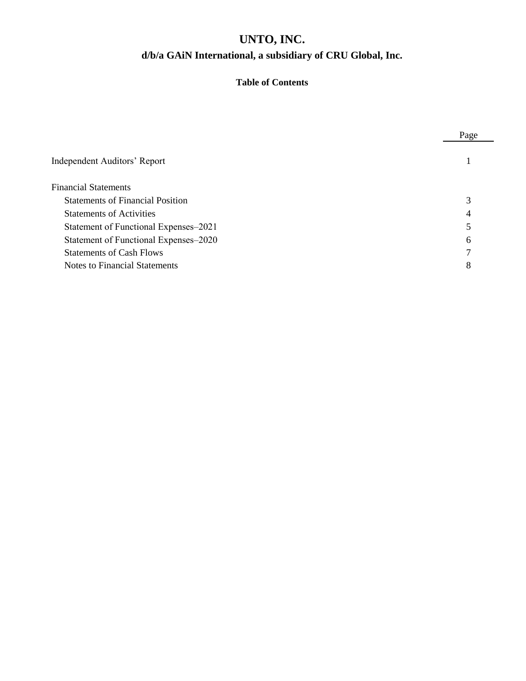# **d/b/a GAiN International, a subsidiary of CRU Global, Inc.**

# **Table of Contents**

|                                         | Page |
|-----------------------------------------|------|
| Independent Auditors' Report            |      |
| <b>Financial Statements</b>             |      |
| <b>Statements of Financial Position</b> |      |
| <b>Statements of Activities</b>         | 4    |
| Statement of Functional Expenses-2021   |      |
| Statement of Functional Expenses–2020   | 6    |
| <b>Statements of Cash Flows</b>         |      |
| Notes to Financial Statements           | 8    |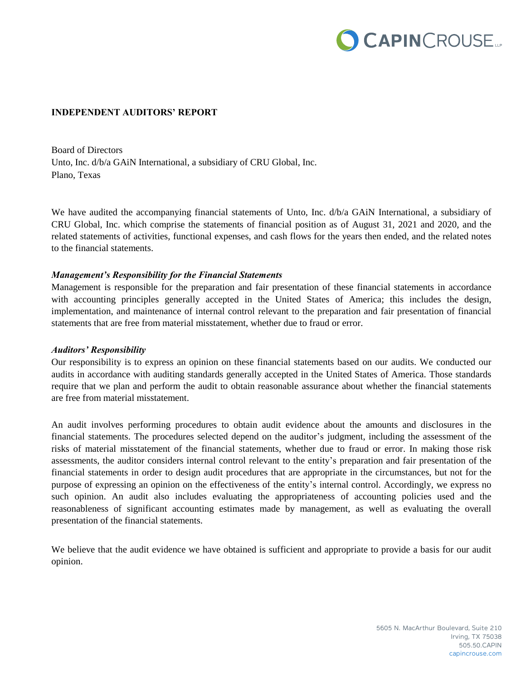

#### **INDEPENDENT AUDITORS' REPORT**

Board of Directors Unto, Inc. d/b/a GAiN International, a subsidiary of CRU Global, Inc. Plano, Texas

We have audited the accompanying financial statements of Unto, Inc. d/b/a GAiN International, a subsidiary of CRU Global, Inc. which comprise the statements of financial position as of August 31, 2021 and 2020, and the related statements of activities, functional expenses, and cash flows for the years then ended, and the related notes to the financial statements.

#### *Management's Responsibility for the Financial Statements*

Management is responsible for the preparation and fair presentation of these financial statements in accordance with accounting principles generally accepted in the United States of America; this includes the design, implementation, and maintenance of internal control relevant to the preparation and fair presentation of financial statements that are free from material misstatement, whether due to fraud or error.

#### *Auditors' Responsibility*

Our responsibility is to express an opinion on these financial statements based on our audits. We conducted our audits in accordance with auditing standards generally accepted in the United States of America. Those standards require that we plan and perform the audit to obtain reasonable assurance about whether the financial statements are free from material misstatement.

An audit involves performing procedures to obtain audit evidence about the amounts and disclosures in the financial statements. The procedures selected depend on the auditor's judgment, including the assessment of the risks of material misstatement of the financial statements, whether due to fraud or error. In making those risk assessments, the auditor considers internal control relevant to the entity's preparation and fair presentation of the financial statements in order to design audit procedures that are appropriate in the circumstances, but not for the purpose of expressing an opinion on the effectiveness of the entity's internal control. Accordingly, we express no such opinion. An audit also includes evaluating the appropriateness of accounting policies used and the reasonableness of significant accounting estimates made by management, as well as evaluating the overall presentation of the financial statements.

We believe that the audit evidence we have obtained is sufficient and appropriate to provide a basis for our audit opinion.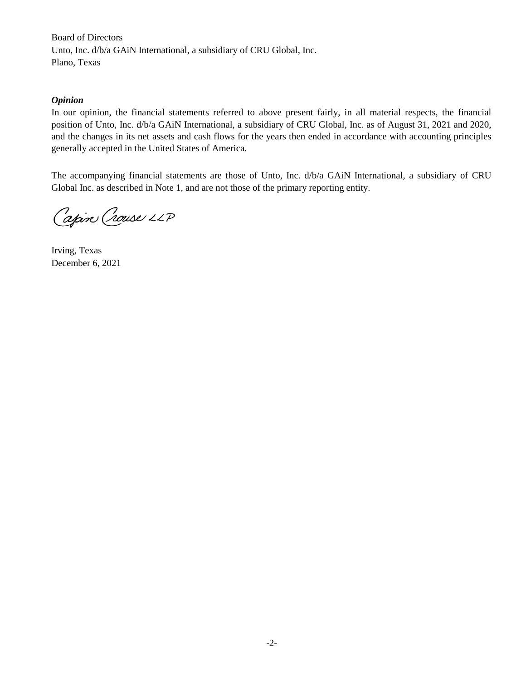Board of Directors Unto, Inc. d/b/a GAiN International, a subsidiary of CRU Global, Inc. Plano, Texas

### *Opinion*

In our opinion, the financial statements referred to above present fairly, in all material respects, the financial position of Unto, Inc. d/b/a GAiN International, a subsidiary of CRU Global, Inc. as of August 31, 2021 and 2020, and the changes in its net assets and cash flows for the years then ended in accordance with accounting principles generally accepted in the United States of America.

The accompanying financial statements are those of Unto, Inc. d/b/a GAiN International, a subsidiary of CRU Global Inc. as described in Note 1, and are not those of the primary reporting entity.

Capin Crouse LLP

Irving, Texas December 6, 2021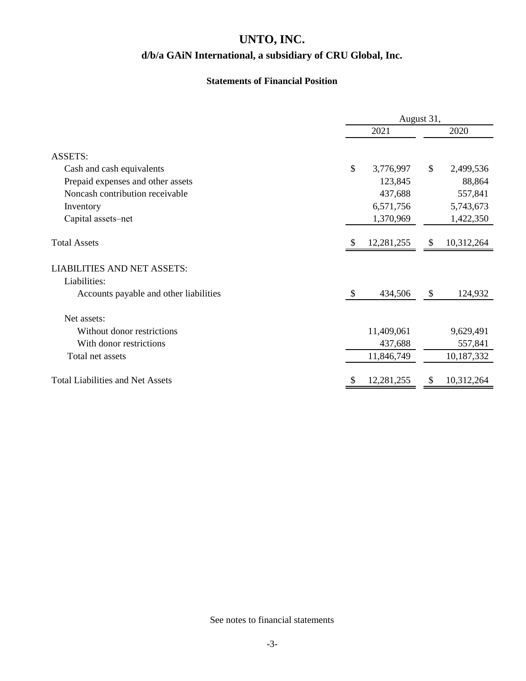# **d/b/a GAiN International, a subsidiary of CRU Global, Inc.**

# **Statements of Financial Position**

|                                         |    | August 31, |              |            |  |
|-----------------------------------------|----|------------|--------------|------------|--|
|                                         |    | 2021       |              | 2020       |  |
| <b>ASSETS:</b>                          |    |            |              |            |  |
| Cash and cash equivalents               | \$ | 3,776,997  | $\mathbb{S}$ | 2,499,536  |  |
| Prepaid expenses and other assets       |    | 123,845    |              | 88,864     |  |
| Noncash contribution receivable         |    | 437,688    |              | 557,841    |  |
| Inventory                               |    | 6,571,756  |              | 5,743,673  |  |
| Capital assets-net                      |    | 1,370,969  |              | 1,422,350  |  |
| <b>Total Assets</b>                     |    | 12,281,255 | \$           | 10,312,264 |  |
| <b>LIABILITIES AND NET ASSETS:</b>      |    |            |              |            |  |
| Liabilities:                            |    |            |              |            |  |
| Accounts payable and other liabilities  | S  | 434,506    | \$           | 124,932    |  |
| Net assets:                             |    |            |              |            |  |
| Without donor restrictions              |    | 11,409,061 |              | 9,629,491  |  |
| With donor restrictions                 |    | 437,688    |              | 557,841    |  |
| Total net assets                        |    | 11,846,749 |              | 10,187,332 |  |
| <b>Total Liabilities and Net Assets</b> | \$ | 12,281,255 | \$           | 10,312,264 |  |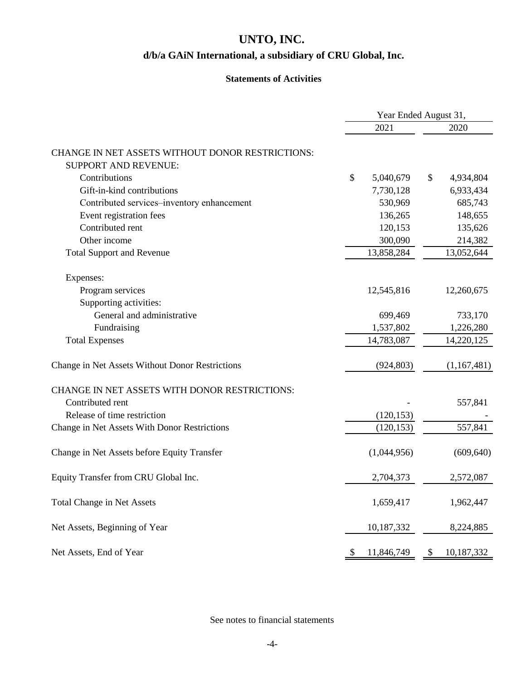# **d/b/a GAiN International, a subsidiary of CRU Global, Inc.**

# **Statements of Activities**

|                                                  | Year Ended August 31, |             |    |             |
|--------------------------------------------------|-----------------------|-------------|----|-------------|
|                                                  |                       | 2021        |    | 2020        |
| CHANGE IN NET ASSETS WITHOUT DONOR RESTRICTIONS: |                       |             |    |             |
| SUPPORT AND REVENUE:                             |                       |             |    |             |
| Contributions                                    | \$                    | 5,040,679   | \$ | 4,934,804   |
| Gift-in-kind contributions                       |                       | 7,730,128   |    | 6,933,434   |
| Contributed services-inventory enhancement       |                       | 530,969     |    | 685,743     |
| Event registration fees                          |                       | 136,265     |    | 148,655     |
| Contributed rent                                 |                       | 120,153     |    | 135,626     |
| Other income                                     |                       | 300,090     |    | 214,382     |
| <b>Total Support and Revenue</b>                 |                       | 13,858,284  |    | 13,052,644  |
| Expenses:                                        |                       |             |    |             |
| Program services                                 |                       | 12,545,816  |    | 12,260,675  |
| Supporting activities:                           |                       |             |    |             |
| General and administrative                       |                       | 699,469     |    | 733,170     |
| Fundraising                                      |                       | 1,537,802   |    | 1,226,280   |
| <b>Total Expenses</b>                            |                       | 14,783,087  |    | 14,220,125  |
| Change in Net Assets Without Donor Restrictions  |                       | (924, 803)  |    | (1,167,481) |
| CHANGE IN NET ASSETS WITH DONOR RESTRICTIONS:    |                       |             |    |             |
| Contributed rent                                 |                       |             |    | 557,841     |
| Release of time restriction                      |                       | (120, 153)  |    |             |
| Change in Net Assets With Donor Restrictions     |                       | (120, 153)  |    | 557,841     |
| Change in Net Assets before Equity Transfer      |                       | (1,044,956) |    | (609, 640)  |
| Equity Transfer from CRU Global Inc.             |                       | 2,704,373   |    | 2,572,087   |
| <b>Total Change in Net Assets</b>                |                       | 1,659,417   |    | 1,962,447   |
| Net Assets, Beginning of Year                    |                       | 10,187,332  |    | 8,224,885   |
| Net Assets, End of Year                          | \$                    | 11,846,749  | \$ | 10,187,332  |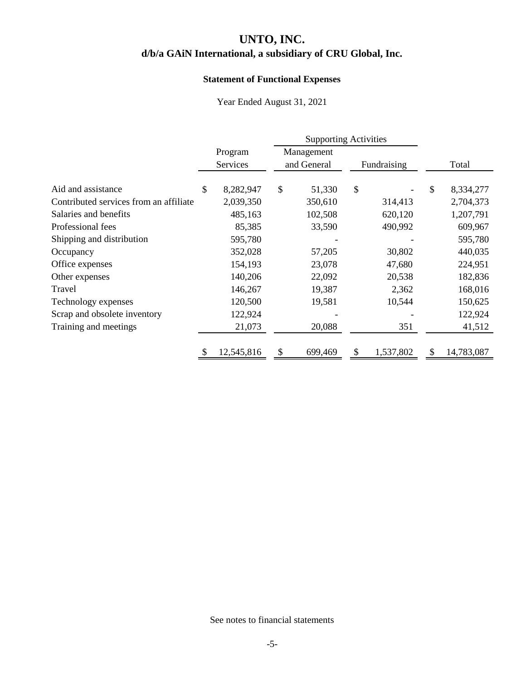# **UNTO, INC. d/b/a GAiN International, a subsidiary of CRU Global, Inc.**

# **Statement of Functional Expenses**

# Year Ended August 31, 2021

|                                        |                  | <b>Supporting Activities</b> |                 |                  |
|----------------------------------------|------------------|------------------------------|-----------------|------------------|
|                                        | Program          | Management                   |                 |                  |
|                                        | Services         | and General                  | Fundraising     | Total            |
|                                        |                  |                              |                 |                  |
| Aid and assistance                     | \$<br>8,282,947  | \$<br>51,330                 | \$              | \$<br>8,334,277  |
| Contributed services from an affiliate | 2,039,350        | 350,610                      | 314,413         | 2,704,373        |
| Salaries and benefits                  | 485,163          | 102,508                      | 620,120         | 1,207,791        |
| Professional fees                      | 85,385           | 33,590                       | 490,992         | 609,967          |
| Shipping and distribution              | 595,780          |                              |                 | 595,780          |
| Occupancy                              | 352,028          | 57,205                       | 30,802          | 440,035          |
| Office expenses                        | 154,193          | 23,078                       | 47,680          | 224,951          |
| Other expenses                         | 140,206          | 22,092                       | 20,538          | 182,836          |
| Travel                                 | 146,267          | 19,387                       | 2,362           | 168,016          |
| Technology expenses                    | 120,500          | 19,581                       | 10,544          | 150,625          |
| Scrap and obsolete inventory           | 122,924          |                              |                 | 122,924          |
| Training and meetings                  | 21,073           | 20,088                       | 351             | 41,512           |
|                                        |                  |                              |                 |                  |
|                                        | \$<br>12,545,816 | \$<br>699,469                | \$<br>1,537,802 | \$<br>14,783,087 |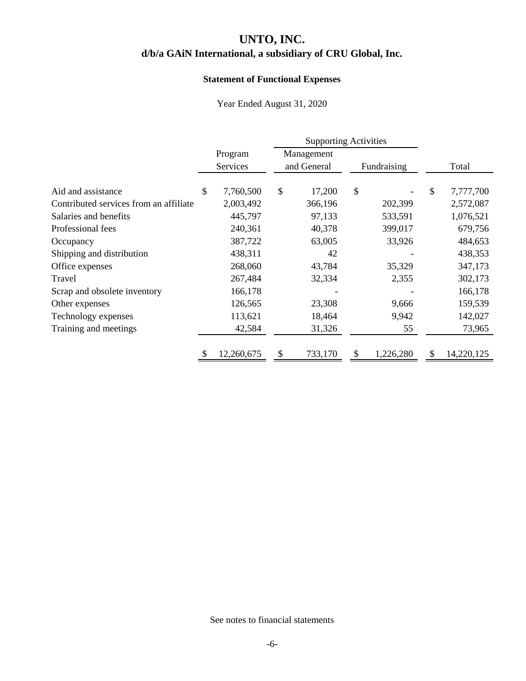# **UNTO, INC. d/b/a GAiN International, a subsidiary of CRU Global, Inc.**

# **Statement of Functional Expenses**

# Year Ended August 31, 2020

|                                        |                  | <b>Supporting Activities</b> |             |    |             |                  |
|----------------------------------------|------------------|------------------------------|-------------|----|-------------|------------------|
|                                        | Program          |                              | Management  |    |             |                  |
|                                        | Services         |                              | and General |    | Fundraising | Total            |
|                                        |                  |                              |             |    |             |                  |
| Aid and assistance                     | \$<br>7,760,500  | $\mathcal{S}$                | 17,200      | \$ |             | \$<br>7,777,700  |
| Contributed services from an affiliate | 2,003,492        |                              | 366,196     |    | 202,399     | 2,572,087        |
| Salaries and benefits                  | 445,797          |                              | 97,133      |    | 533,591     | 1,076,521        |
| Professional fees                      | 240,361          |                              | 40,378      |    | 399,017     | 679,756          |
| Occupancy                              | 387,722          |                              | 63,005      |    | 33,926      | 484,653          |
| Shipping and distribution              | 438,311          |                              | 42          |    |             | 438,353          |
| Office expenses                        | 268,060          |                              | 43,784      |    | 35,329      | 347,173          |
| Travel                                 | 267,484          |                              | 32,334      |    | 2,355       | 302,173          |
| Scrap and obsolete inventory           | 166,178          |                              |             |    |             | 166,178          |
| Other expenses                         | 126,565          |                              | 23,308      |    | 9,666       | 159,539          |
| Technology expenses                    | 113,621          |                              | 18,464      |    | 9,942       | 142,027          |
| Training and meetings                  | 42,584           |                              | 31,326      |    | 55          | 73,965           |
|                                        |                  |                              |             |    |             |                  |
|                                        | \$<br>12,260,675 | \$                           | 733,170     | \$ | 1,226,280   | \$<br>14,220,125 |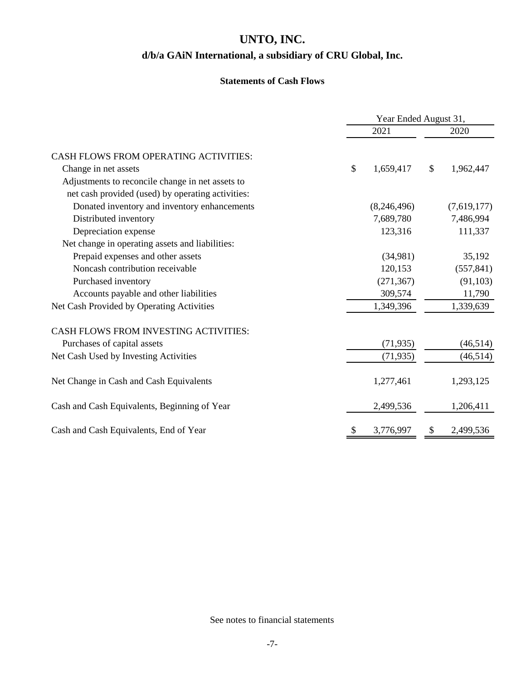# **d/b/a GAiN International, a subsidiary of CRU Global, Inc.**

# **Statements of Cash Flows**

|                                                   | Year Ended August 31, |    |             |  |  |
|---------------------------------------------------|-----------------------|----|-------------|--|--|
|                                                   | 2021                  |    | 2020        |  |  |
| CASH FLOWS FROM OPERATING ACTIVITIES:             |                       |    |             |  |  |
| Change in net assets                              | \$<br>1,659,417       | \$ | 1,962,447   |  |  |
| Adjustments to reconcile change in net assets to  |                       |    |             |  |  |
| net cash provided (used) by operating activities: |                       |    |             |  |  |
| Donated inventory and inventory enhancements      | (8,246,496)           |    | (7,619,177) |  |  |
| Distributed inventory                             | 7,689,780             |    | 7,486,994   |  |  |
| Depreciation expense                              | 123,316               |    | 111,337     |  |  |
| Net change in operating assets and liabilities:   |                       |    |             |  |  |
| Prepaid expenses and other assets                 | (34,981)              |    | 35,192      |  |  |
| Noncash contribution receivable                   | 120,153               |    | (557, 841)  |  |  |
| Purchased inventory                               | (271, 367)            |    | (91, 103)   |  |  |
| Accounts payable and other liabilities            | 309,574               |    | 11,790      |  |  |
| Net Cash Provided by Operating Activities         | 1,349,396             |    | 1,339,639   |  |  |
| CASH FLOWS FROM INVESTING ACTIVITIES:             |                       |    |             |  |  |
| Purchases of capital assets                       | (71, 935)             |    | (46,514)    |  |  |
| Net Cash Used by Investing Activities             | (71, 935)             |    | (46, 514)   |  |  |
| Net Change in Cash and Cash Equivalents           | 1,277,461             |    | 1,293,125   |  |  |
| Cash and Cash Equivalents, Beginning of Year      | 2,499,536             |    | 1,206,411   |  |  |
| Cash and Cash Equivalents, End of Year            | \$<br>3,776,997       |    | 2,499,536   |  |  |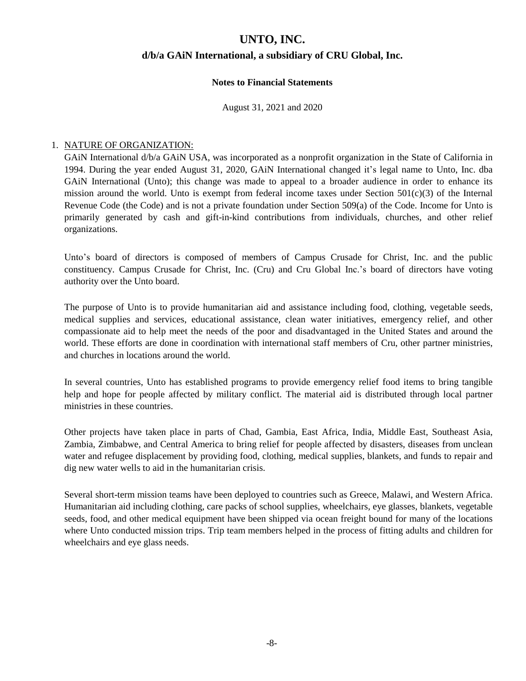# **d/b/a GAiN International, a subsidiary of CRU Global, Inc.**

## **Notes to Financial Statements**

August 31, 2021 and 2020

### 1. NATURE OF ORGANIZATION:

GAiN International d/b/a GAiN USA, was incorporated as a nonprofit organization in the State of California in 1994. During the year ended August 31, 2020, GAiN International changed it's legal name to Unto, Inc. dba GAiN International (Unto); this change was made to appeal to a broader audience in order to enhance its mission around the world. Unto is exempt from federal income taxes under Section  $501(c)(3)$  of the Internal Revenue Code (the Code) and is not a private foundation under Section 509(a) of the Code. Income for Unto is primarily generated by cash and gift-in-kind contributions from individuals, churches, and other relief organizations.

Unto's board of directors is composed of members of Campus Crusade for Christ, Inc. and the public constituency. Campus Crusade for Christ, Inc. (Cru) and Cru Global Inc.'s board of directors have voting authority over the Unto board.

The purpose of Unto is to provide humanitarian aid and assistance including food, clothing, vegetable seeds, medical supplies and services, educational assistance, clean water initiatives, emergency relief, and other compassionate aid to help meet the needs of the poor and disadvantaged in the United States and around the world. These efforts are done in coordination with international staff members of Cru, other partner ministries, and churches in locations around the world.

In several countries, Unto has established programs to provide emergency relief food items to bring tangible help and hope for people affected by military conflict. The material aid is distributed through local partner ministries in these countries.

Other projects have taken place in parts of Chad, Gambia, East Africa, India, Middle East, Southeast Asia, Zambia, Zimbabwe, and Central America to bring relief for people affected by disasters, diseases from unclean water and refugee displacement by providing food, clothing, medical supplies, blankets, and funds to repair and dig new water wells to aid in the humanitarian crisis.

Several short-term mission teams have been deployed to countries such as Greece, Malawi, and Western Africa. Humanitarian aid including clothing, care packs of school supplies, wheelchairs, eye glasses, blankets, vegetable seeds, food, and other medical equipment have been shipped via ocean freight bound for many of the locations where Unto conducted mission trips. Trip team members helped in the process of fitting adults and children for wheelchairs and eye glass needs.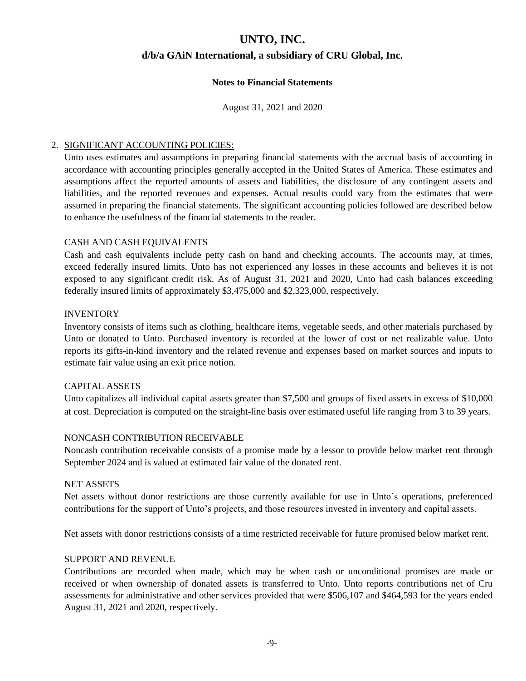# **d/b/a GAiN International, a subsidiary of CRU Global, Inc.**

### **Notes to Financial Statements**

August 31, 2021 and 2020

### 2. SIGNIFICANT ACCOUNTING POLICIES:

Unto uses estimates and assumptions in preparing financial statements with the accrual basis of accounting in accordance with accounting principles generally accepted in the United States of America. These estimates and assumptions affect the reported amounts of assets and liabilities, the disclosure of any contingent assets and liabilities, and the reported revenues and expenses. Actual results could vary from the estimates that were assumed in preparing the financial statements. The significant accounting policies followed are described below to enhance the usefulness of the financial statements to the reader.

### CASH AND CASH EQUIVALENTS

Cash and cash equivalents include petty cash on hand and checking accounts. The accounts may, at times, exceed federally insured limits. Unto has not experienced any losses in these accounts and believes it is not exposed to any significant credit risk. As of August 31, 2021 and 2020, Unto had cash balances exceeding federally insured limits of approximately \$3,475,000 and \$2,323,000, respectively.

#### INVENTORY

Inventory consists of items such as clothing, healthcare items, vegetable seeds, and other materials purchased by Unto or donated to Unto. Purchased inventory is recorded at the lower of cost or net realizable value. Unto reports its gifts-in-kind inventory and the related revenue and expenses based on market sources and inputs to estimate fair value using an exit price notion.

#### CAPITAL ASSETS

Unto capitalizes all individual capital assets greater than \$7,500 and groups of fixed assets in excess of \$10,000 at cost. Depreciation is computed on the straight-line basis over estimated useful life ranging from 3 to 39 years.

## NONCASH CONTRIBUTION RECEIVABLE

Noncash contribution receivable consists of a promise made by a lessor to provide below market rent through September 2024 and is valued at estimated fair value of the donated rent.

#### NET ASSETS

Net assets without donor restrictions are those currently available for use in Unto's operations, preferenced contributions for the support of Unto's projects, and those resources invested in inventory and capital assets.

Net assets with donor restrictions consists of a time restricted receivable for future promised below market rent.

#### SUPPORT AND REVENUE

Contributions are recorded when made, which may be when cash or unconditional promises are made or received or when ownership of donated assets is transferred to Unto. Unto reports contributions net of Cru assessments for administrative and other services provided that were \$506,107 and \$464,593 for the years ended August 31, 2021 and 2020, respectively.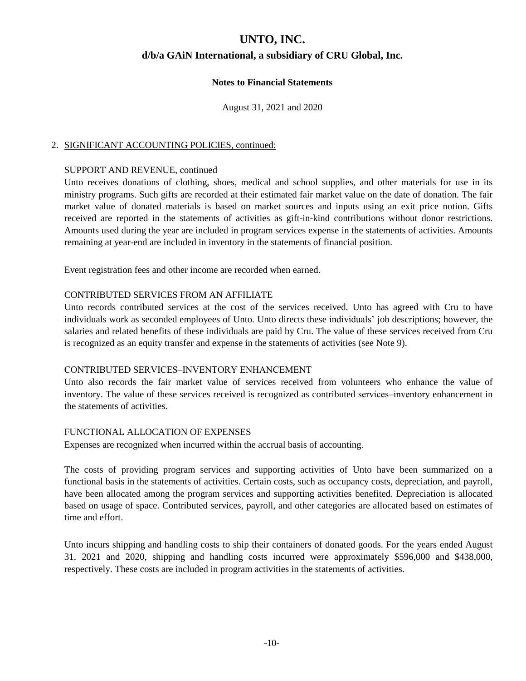# **d/b/a GAiN International, a subsidiary of CRU Global, Inc.**

### **Notes to Financial Statements**

August 31, 2021 and 2020

### 2. SIGNIFICANT ACCOUNTING POLICIES, continued:

### SUPPORT AND REVENUE, continued

Unto receives donations of clothing, shoes, medical and school supplies, and other materials for use in its ministry programs. Such gifts are recorded at their estimated fair market value on the date of donation. The fair market value of donated materials is based on market sources and inputs using an exit price notion. Gifts received are reported in the statements of activities as gift-in-kind contributions without donor restrictions. Amounts used during the year are included in program services expense in the statements of activities. Amounts remaining at year-end are included in inventory in the statements of financial position.

Event registration fees and other income are recorded when earned.

### CONTRIBUTED SERVICES FROM AN AFFILIATE

Unto records contributed services at the cost of the services received. Unto has agreed with Cru to have individuals work as seconded employees of Unto. Unto directs these individuals' job descriptions; however, the salaries and related benefits of these individuals are paid by Cru. The value of these services received from Cru is recognized as an equity transfer and expense in the statements of activities (see Note 9).

#### CONTRIBUTED SERVICES–INVENTORY ENHANCEMENT

Unto also records the fair market value of services received from volunteers who enhance the value of inventory. The value of these services received is recognized as contributed services–inventory enhancement in the statements of activities.

#### FUNCTIONAL ALLOCATION OF EXPENSES

Expenses are recognized when incurred within the accrual basis of accounting.

The costs of providing program services and supporting activities of Unto have been summarized on a functional basis in the statements of activities. Certain costs, such as occupancy costs, depreciation, and payroll, have been allocated among the program services and supporting activities benefited. Depreciation is allocated based on usage of space. Contributed services, payroll, and other categories are allocated based on estimates of time and effort.

Unto incurs shipping and handling costs to ship their containers of donated goods. For the years ended August 31, 2021 and 2020, shipping and handling costs incurred were approximately \$596,000 and \$438,000, respectively. These costs are included in program activities in the statements of activities.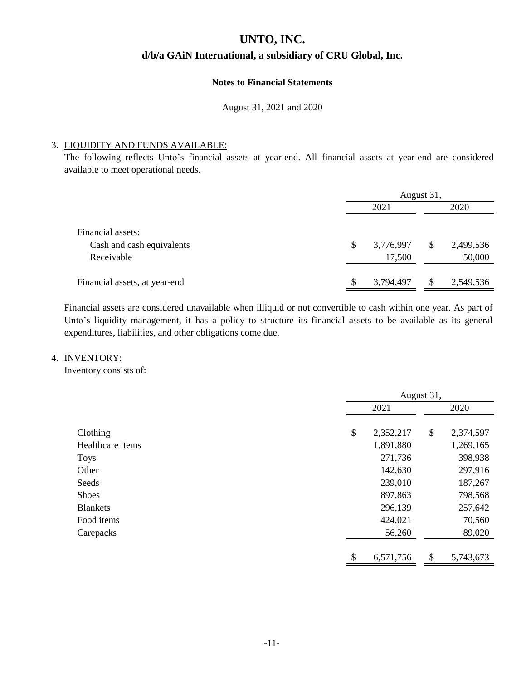# **d/b/a GAiN International, a subsidiary of CRU Global, Inc.**

## **Notes to Financial Statements**

August 31, 2021 and 2020

#### 3. LIQUIDITY AND FUNDS AVAILABLE:

The following reflects Unto's financial assets at year-end. All financial assets at year-end are considered available to meet operational needs.

|                                                              |      | August 31,          |    |                     |  |  |
|--------------------------------------------------------------|------|---------------------|----|---------------------|--|--|
|                                                              | 2021 |                     |    | 2020                |  |  |
| Financial assets:<br>Cash and cash equivalents<br>Receivable | S    | 3,776,997<br>17,500 | S  | 2,499,536<br>50,000 |  |  |
| Financial assets, at year-end                                | S    | 3,794,497           | \$ | 2,549,536           |  |  |

Financial assets are considered unavailable when illiquid or not convertible to cash within one year. As part of Unto's liquidity management, it has a policy to structure its financial assets to be available as its general expenditures, liabilities, and other obligations come due.

# 4. INVENTORY:

Inventory consists of:

|                  | August 31,      |    |           |  |
|------------------|-----------------|----|-----------|--|
|                  | 2021            |    | 2020      |  |
| Clothing         | \$<br>2,352,217 | \$ | 2,374,597 |  |
| Healthcare items | 1,891,880       |    | 1,269,165 |  |
| <b>Toys</b>      | 271,736         |    | 398,938   |  |
| Other            | 142,630         |    | 297,916   |  |
| Seeds            | 239,010         |    | 187,267   |  |
| <b>Shoes</b>     | 897,863         |    | 798,568   |  |
| <b>Blankets</b>  | 296,139         |    | 257,642   |  |
| Food items       | 424,021         |    | 70,560    |  |
| Carepacks        | 56,260          |    | 89,020    |  |
|                  | \$<br>6,571,756 | S  | 5,743,673 |  |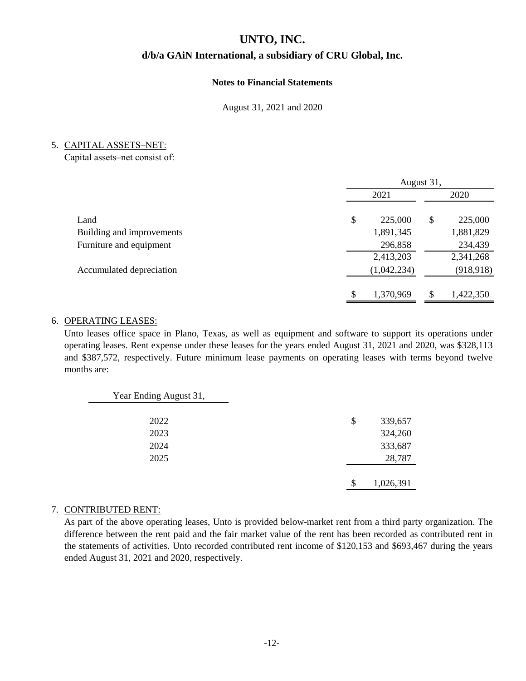# **d/b/a GAiN International, a subsidiary of CRU Global, Inc.**

## **Notes to Financial Statements**

August 31, 2021 and 2020

#### 5. CAPITAL ASSETS–NET:

Capital assets–net consist of:

|                           | August 31,      |    |            |
|---------------------------|-----------------|----|------------|
|                           | 2021            |    | 2020       |
| Land                      | \$<br>225,000   | \$ | 225,000    |
| Building and improvements | 1,891,345       |    | 1,881,829  |
| Furniture and equipment   | 296,858         |    | 234,439    |
|                           | 2,413,203       |    | 2,341,268  |
| Accumulated depreciation  | (1,042,234)     |    | (918, 918) |
|                           | \$<br>1,370,969 | S  | 1,422,350  |

### 6. OPERATING LEASES:

Unto leases office space in Plano, Texas, as well as equipment and software to support its operations under operating leases. Rent expense under these leases for the years ended August 31, 2021 and 2020, was \$328,113 and \$387,572, respectively. Future minimum lease payments on operating leases with terms beyond twelve months are:

| Year Ending August 31, |                 |
|------------------------|-----------------|
| 2022                   | \$<br>339,657   |
| 2023                   | 324,260         |
| 2024                   | 333,687         |
| 2025                   | 28,787          |
|                        |                 |
|                        | \$<br>1,026,391 |

#### 7. CONTRIBUTED RENT:

As part of the above operating leases, Unto is provided below-market rent from a third party organization. The difference between the rent paid and the fair market value of the rent has been recorded as contributed rent in the statements of activities. Unto recorded contributed rent income of \$120,153 and \$693,467 during the years ended August 31, 2021 and 2020, respectively.